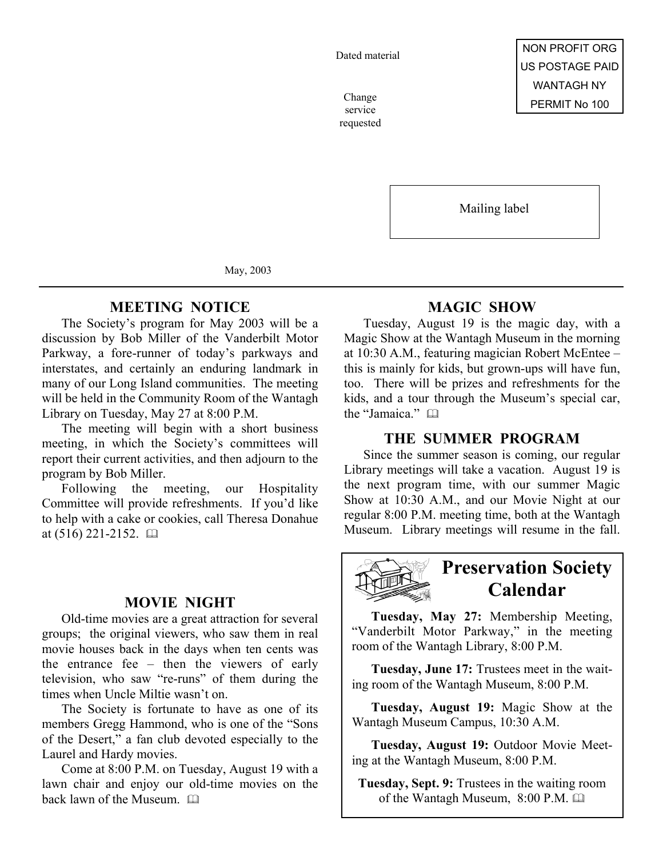Dated material

service requested

Mailing label

May, 2003

### **MEETING NOTICE**

The Society's program for May 2003 will be a discussion by Bob Miller of the Vanderbilt Motor Parkway, a fore-runner of today's parkways and interstates, and certainly an enduring landmark in many of our Long Island communities. The meeting will be held in the Community Room of the Wantagh Library on Tuesday, May 27 at 8:00 P.M.

The meeting will begin with a short business meeting, in which the Society's committees will report their current activities, and then adjourn to the program by Bob Miller.

Following the meeting, our Hospitality Committee will provide refreshments. If you'd like to help with a cake or cookies, call Theresa Donahue at  $(516)$  221-2152.  $\Box$ 

## **MOVIE NIGHT**

Old-time movies are a great attraction for several groups; the original viewers, who saw them in real movie houses back in the days when ten cents was the entrance fee – then the viewers of early television, who saw "re-runs" of them during the times when Uncle Miltie wasn't on.

The Society is fortunate to have as one of its members Gregg Hammond, who is one of the "Sons of the Desert," a fan club devoted especially to the Laurel and Hardy movies.

Come at 8:00 P.M. on Tuesday, August 19 with a lawn chair and enjoy our old-time movies on the back lawn of the Museum. 

# **MAGIC SHOW**

Tuesday, August 19 is the magic day, with a Magic Show at the Wantagh Museum in the morning at 10:30 A.M., featuring magician Robert McEntee – this is mainly for kids, but grown-ups will have fun, too. There will be prizes and refreshments for the kids, and a tour through the Museum's special car, the "Jamaica." 

### **THE SUMMER PROGRAM**

Since the summer season is coming, our regular Library meetings will take a vacation. August 19 is the next program time, with our summer Magic Show at 10:30 A.M., and our Movie Night at our regular 8:00 P.M. meeting time, both at the Wantagh Museum. Library meetings will resume in the fall.



# **Preservation Society Calendar**

**Tuesday, May 27:** Membership Meeting, "Vanderbilt Motor Parkway," in the meeting room of the Wantagh Library, 8:00 P.M.

**Tuesday, June 17:** Trustees meet in the waiting room of the Wantagh Museum, 8:00 P.M.

**Tuesday, August 19:** Magic Show at the Wantagh Museum Campus, 10:30 A.M.

**Tuesday, August 19:** Outdoor Movie Meeting at the Wantagh Museum, 8:00 P.M.

**Tuesday, Sept. 9:** Trustees in the waiting room of the Wantagh Museum, 8:00 P.M.